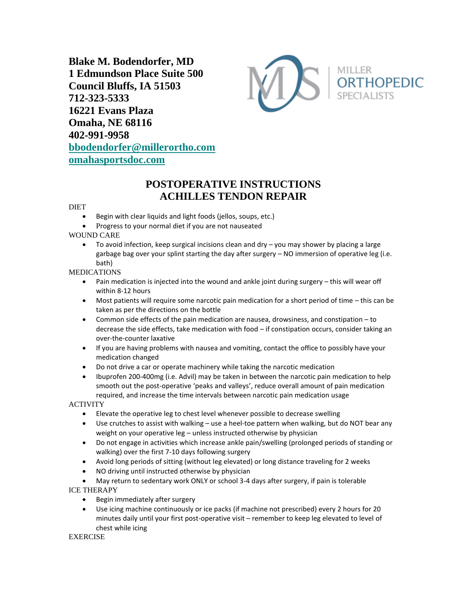**Blake M. Bodendorfer, MD 1 Edmundson Place Suite 500 Council Bluffs, IA 51503 712-323-5333 16221 Evans Plaza Omaha, NE 68116 402-991-9958 [bbodendorfer@millerortho.com](mailto:bbodendorfer@millerortho.com) [omahasportsdoc.com](http://www.omahasportsdoc.com/)**



# **POSTOPERATIVE INSTRUCTIONS ACHILLES TENDON REPAIR**

#### DIET

- Begin with clear liquids and light foods (jellos, soups, etc.)
- Progress to your normal diet if you are not nauseated

# WOUND CARE

• To avoid infection, keep surgical incisions clean and dry – you may shower by placing a large garbage bag over your splint starting the day after surgery – NO immersion of operative leg (i.e. bath)

# MEDICATIONS

- Pain medication is injected into the wound and ankle joint during surgery this will wear off within 8-12 hours
- Most patients will require some narcotic pain medication for a short period of time this can be taken as per the directions on the bottle
- Common side effects of the pain medication are nausea, drowsiness, and constipation to decrease the side effects, take medication with food – if constipation occurs, consider taking an over-the-counter laxative
- If you are having problems with nausea and vomiting, contact the office to possibly have your medication changed
- Do not drive a car or operate machinery while taking the narcotic medication
- Ibuprofen 200-400mg (i.e. Advil) may be taken in between the narcotic pain medication to help smooth out the post-operative 'peaks and valleys', reduce overall amount of pain medication required, and increase the time intervals between narcotic pain medication usage

# ACTIVITY

- Elevate the operative leg to chest level whenever possible to decrease swelling
- Use crutches to assist with walking use a heel-toe pattern when walking, but do NOT bear any weight on your operative leg – unless instructed otherwise by physician
- Do not engage in activities which increase ankle pain/swelling (prolonged periods of standing or walking) over the first 7-10 days following surgery
- Avoid long periods of sitting (without leg elevated) or long distance traveling for 2 weeks
- NO driving until instructed otherwise by physician
- May return to sedentary work ONLY or school 3-4 days after surgery, if pain is tolerable

# ICE THERAPY

- Begin immediately after surgery
- Use icing machine continuously or ice packs (if machine not prescribed) every 2 hours for 20 minutes daily until your first post-operative visit – remember to keep leg elevated to level of chest while icing

EXERCISE